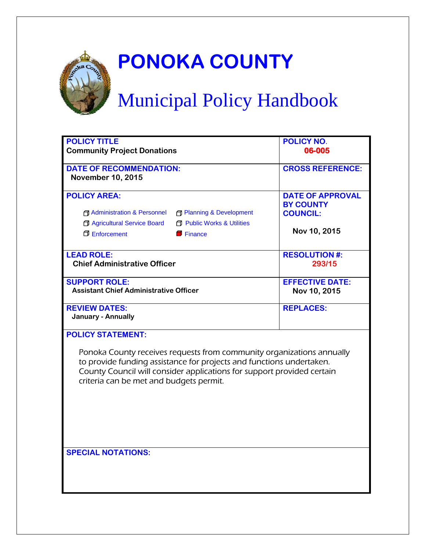

## **PONOKA COUNTY**

# Municipal Policy Handbook

| <b>POLICY TITLE</b><br><b>Community Project Donations</b>                                                                                                                                                                                                                                      | <b>POLICY NO.</b><br>06-005                                                    |
|------------------------------------------------------------------------------------------------------------------------------------------------------------------------------------------------------------------------------------------------------------------------------------------------|--------------------------------------------------------------------------------|
| <b>DATE OF RECOMMENDATION:</b><br><b>November 10, 2015</b>                                                                                                                                                                                                                                     | <b>CROSS REFERENCE:</b>                                                        |
| <b>POLICY AREA:</b><br>Administration & Personnel<br><b>Flanning &amp; Development</b><br>Agricultural Service Board<br><b>F</b> Public Works & Utilities<br><b>D</b> Enforcement<br>$\blacksquare$ Finance                                                                                    | <b>DATE OF APPROVAL</b><br><b>BY COUNTY</b><br><b>COUNCIL:</b><br>Nov 10, 2015 |
| <b>LEAD ROLE:</b><br><b>Chief Administrative Officer</b>                                                                                                                                                                                                                                       | <b>RESOLUTION #:</b><br>293/15                                                 |
| <b>SUPPORT ROLE:</b><br><b>Assistant Chief Administrative Officer</b>                                                                                                                                                                                                                          | <b>EFFECTIVE DATE:</b><br>Nov 10, 2015                                         |
| <b>REVIEW DATES:</b><br><b>January - Annually</b>                                                                                                                                                                                                                                              | <b>REPLACES:</b>                                                               |
| <b>POLICY STATEMENT:</b><br>Ponoka County receives requests from community organizations annually<br>to provide funding assistance for projects and functions undertaken.<br>County Council will consider applications for support provided certain<br>criteria can be met and budgets permit. |                                                                                |
| <b>SPECIAL NOTATIONS:</b>                                                                                                                                                                                                                                                                      |                                                                                |